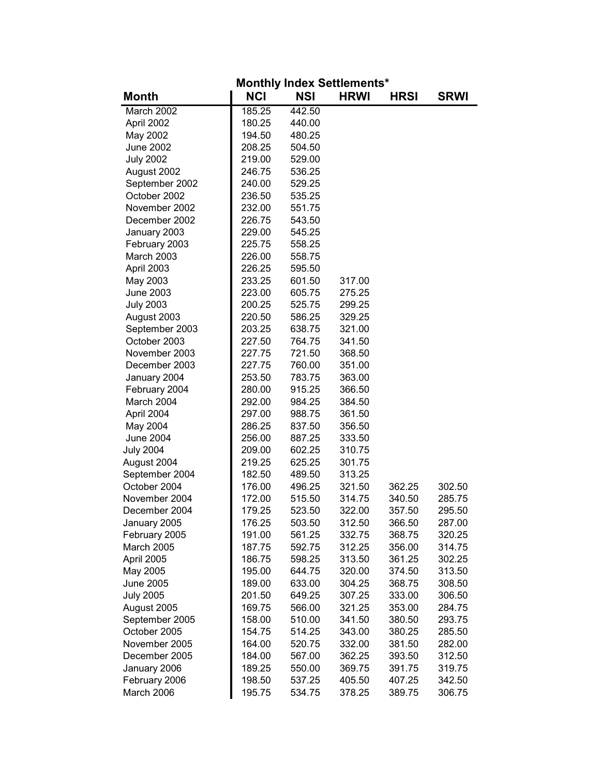| <b>Monthly Index Settlements*</b> |            |            |             |             |             |  |  |
|-----------------------------------|------------|------------|-------------|-------------|-------------|--|--|
| <b>Month</b>                      | <b>NCI</b> | <b>NSI</b> | <b>HRWI</b> | <b>HRSI</b> | <b>SRWI</b> |  |  |
| March 2002                        | 185.25     | 442.50     |             |             |             |  |  |
| April 2002                        | 180.25     | 440.00     |             |             |             |  |  |
| May 2002                          | 194.50     | 480.25     |             |             |             |  |  |
| <b>June 2002</b>                  | 208.25     | 504.50     |             |             |             |  |  |
| <b>July 2002</b>                  | 219.00     | 529.00     |             |             |             |  |  |
| August 2002                       | 246.75     | 536.25     |             |             |             |  |  |
| September 2002                    | 240.00     | 529.25     |             |             |             |  |  |
| October 2002                      | 236.50     | 535.25     |             |             |             |  |  |
| November 2002                     | 232.00     | 551.75     |             |             |             |  |  |
| December 2002                     | 226.75     | 543.50     |             |             |             |  |  |
| January 2003                      | 229.00     | 545.25     |             |             |             |  |  |
| February 2003                     | 225.75     | 558.25     |             |             |             |  |  |
| March 2003                        | 226.00     | 558.75     |             |             |             |  |  |
| April 2003                        | 226.25     | 595.50     |             |             |             |  |  |
| May 2003                          | 233.25     | 601.50     | 317.00      |             |             |  |  |
| <b>June 2003</b>                  | 223.00     | 605.75     | 275.25      |             |             |  |  |
| <b>July 2003</b>                  | 200.25     | 525.75     | 299.25      |             |             |  |  |
| August 2003                       | 220.50     | 586.25     | 329.25      |             |             |  |  |
| September 2003                    | 203.25     | 638.75     | 321.00      |             |             |  |  |
| October 2003                      | 227.50     | 764.75     | 341.50      |             |             |  |  |
| November 2003                     | 227.75     | 721.50     | 368.50      |             |             |  |  |
| December 2003                     | 227.75     | 760.00     | 351.00      |             |             |  |  |
| January 2004                      | 253.50     | 783.75     | 363.00      |             |             |  |  |
| February 2004                     | 280.00     | 915.25     | 366.50      |             |             |  |  |
| March 2004                        | 292.00     | 984.25     | 384.50      |             |             |  |  |
| April 2004                        | 297.00     | 988.75     | 361.50      |             |             |  |  |
| May 2004                          | 286.25     | 837.50     | 356.50      |             |             |  |  |
| <b>June 2004</b>                  | 256.00     | 887.25     | 333.50      |             |             |  |  |
| <b>July 2004</b>                  | 209.00     | 602.25     | 310.75      |             |             |  |  |
| August 2004                       | 219.25     | 625.25     | 301.75      |             |             |  |  |
| September 2004                    | 182.50     | 489.50     | 313.25      |             |             |  |  |
| October 2004                      | 176.00     | 496.25     | 321.50      | 362.25      | 302.50      |  |  |
| November 2004                     | 172.00     | 515.50     | 314.75      | 340.50      | 285.75      |  |  |
| December 2004                     | 179.25     | 523.50     | 322.00      | 357.50      | 295.50      |  |  |
| January 2005                      | 176.25     | 503.50     | 312.50      | 366.50      | 287.00      |  |  |
| February 2005                     | 191.00     | 561.25     | 332.75      | 368.75      | 320.25      |  |  |
| <b>March 2005</b>                 | 187.75     | 592.75     | 312.25      | 356.00      | 314.75      |  |  |
| April 2005                        | 186.75     | 598.25     | 313.50      | 361.25      | 302.25      |  |  |
| May 2005                          | 195.00     | 644.75     | 320.00      | 374.50      | 313.50      |  |  |
| June 2005                         | 189.00     | 633.00     | 304.25      | 368.75      | 308.50      |  |  |
| <b>July 2005</b>                  | 201.50     | 649.25     | 307.25      | 333.00      | 306.50      |  |  |
| August 2005                       | 169.75     | 566.00     | 321.25      | 353.00      | 284.75      |  |  |
| September 2005                    | 158.00     | 510.00     | 341.50      | 380.50      | 293.75      |  |  |
| October 2005                      | 154.75     | 514.25     | 343.00      | 380.25      | 285.50      |  |  |
| November 2005                     | 164.00     | 520.75     | 332.00      | 381.50      | 282.00      |  |  |
| December 2005                     | 184.00     | 567.00     | 362.25      | 393.50      | 312.50      |  |  |
| January 2006                      | 189.25     | 550.00     | 369.75      | 391.75      | 319.75      |  |  |
| February 2006                     | 198.50     | 537.25     | 405.50      | 407.25      | 342.50      |  |  |
| March 2006                        | 195.75     | 534.75     | 378.25      | 389.75      | 306.75      |  |  |
|                                   |            |            |             |             |             |  |  |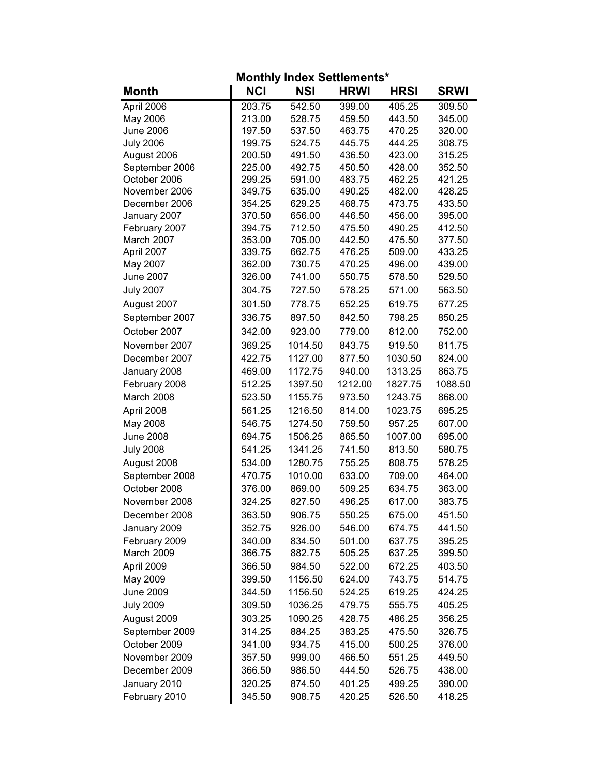| <b>Monthly Index Settlements*</b> |            |            |             |             |             |  |  |
|-----------------------------------|------------|------------|-------------|-------------|-------------|--|--|
| <b>Month</b>                      | <b>NCI</b> | <b>NSI</b> | <b>HRWI</b> | <b>HRSI</b> | <b>SRWI</b> |  |  |
| April 2006                        | 203.75     | 542.50     | 399.00      | 405.25      | 309.50      |  |  |
| May 2006                          | 213.00     | 528.75     | 459.50      | 443.50      | 345.00      |  |  |
| <b>June 2006</b>                  | 197.50     | 537.50     | 463.75      | 470.25      | 320.00      |  |  |
| <b>July 2006</b>                  | 199.75     | 524.75     | 445.75      | 444.25      | 308.75      |  |  |
| August 2006                       | 200.50     | 491.50     | 436.50      | 423.00      | 315.25      |  |  |
| September 2006                    | 225.00     | 492.75     | 450.50      | 428.00      | 352.50      |  |  |
| October 2006                      | 299.25     | 591.00     | 483.75      | 462.25      | 421.25      |  |  |
| November 2006                     | 349.75     | 635.00     | 490.25      | 482.00      | 428.25      |  |  |
| December 2006                     | 354.25     | 629.25     | 468.75      | 473.75      | 433.50      |  |  |
| January 2007                      | 370.50     | 656.00     | 446.50      | 456.00      | 395.00      |  |  |
| February 2007                     | 394.75     | 712.50     | 475.50      | 490.25      | 412.50      |  |  |
| March 2007                        | 353.00     | 705.00     | 442.50      | 475.50      | 377.50      |  |  |
| April 2007                        | 339.75     | 662.75     | 476.25      | 509.00      | 433.25      |  |  |
| May 2007                          | 362.00     | 730.75     | 470.25      | 496.00      | 439.00      |  |  |
| <b>June 2007</b>                  | 326.00     | 741.00     | 550.75      | 578.50      | 529.50      |  |  |
| <b>July 2007</b>                  | 304.75     | 727.50     | 578.25      | 571.00      | 563.50      |  |  |
| August 2007                       | 301.50     | 778.75     | 652.25      | 619.75      | 677.25      |  |  |
| September 2007                    | 336.75     | 897.50     | 842.50      | 798.25      | 850.25      |  |  |
| October 2007                      | 342.00     | 923.00     | 779.00      | 812.00      | 752.00      |  |  |
| November 2007                     | 369.25     | 1014.50    | 843.75      | 919.50      | 811.75      |  |  |
| December 2007                     | 422.75     | 1127.00    | 877.50      | 1030.50     | 824.00      |  |  |
| January 2008                      | 469.00     | 1172.75    | 940.00      | 1313.25     | 863.75      |  |  |
| February 2008                     | 512.25     | 1397.50    | 1212.00     | 1827.75     | 1088.50     |  |  |
| March 2008                        | 523.50     | 1155.75    | 973.50      | 1243.75     | 868.00      |  |  |
| April 2008                        | 561.25     | 1216.50    | 814.00      | 1023.75     | 695.25      |  |  |
| May 2008                          | 546.75     | 1274.50    | 759.50      | 957.25      | 607.00      |  |  |
| <b>June 2008</b>                  | 694.75     | 1506.25    | 865.50      | 1007.00     | 695.00      |  |  |
| <b>July 2008</b>                  | 541.25     | 1341.25    | 741.50      | 813.50      | 580.75      |  |  |
| August 2008                       | 534.00     | 1280.75    | 755.25      | 808.75      | 578.25      |  |  |
| September 2008                    | 470.75     | 1010.00    | 633.00      | 709.00      | 464.00      |  |  |
| October 2008                      | 376.00     | 869.00     | 509.25      | 634.75      | 363.00      |  |  |
| November 2008                     | 324.25     | 827.50     | 496.25      | 617.00      | 383.75      |  |  |
| December 2008                     | 363.50     | 906.75     | 550.25      | 675.00      | 451.50      |  |  |
| January 2009                      | 352.75     | 926.00     | 546.00      | 674.75      | 441.50      |  |  |
| February 2009                     | 340.00     | 834.50     | 501.00      | 637.75      | 395.25      |  |  |
| March 2009                        | 366.75     | 882.75     | 505.25      | 637.25      | 399.50      |  |  |
| April 2009                        | 366.50     | 984.50     | 522.00      | 672.25      | 403.50      |  |  |
| May 2009                          | 399.50     | 1156.50    | 624.00      | 743.75      | 514.75      |  |  |
| June 2009                         | 344.50     | 1156.50    | 524.25      | 619.25      | 424.25      |  |  |
| <b>July 2009</b>                  | 309.50     | 1036.25    | 479.75      | 555.75      | 405.25      |  |  |
| August 2009                       | 303.25     | 1090.25    | 428.75      | 486.25      | 356.25      |  |  |
| September 2009                    | 314.25     | 884.25     | 383.25      | 475.50      | 326.75      |  |  |
|                                   |            |            |             |             |             |  |  |
| October 2009<br>November 2009     | 341.00     | 934.75     | 415.00      | 500.25      | 376.00      |  |  |
|                                   | 357.50     | 999.00     | 466.50      | 551.25      | 449.50      |  |  |
| December 2009                     | 366.50     | 986.50     | 444.50      | 526.75      | 438.00      |  |  |
| January 2010                      | 320.25     | 874.50     | 401.25      | 499.25      | 390.00      |  |  |
| February 2010                     | 345.50     | 908.75     | 420.25      | 526.50      | 418.25      |  |  |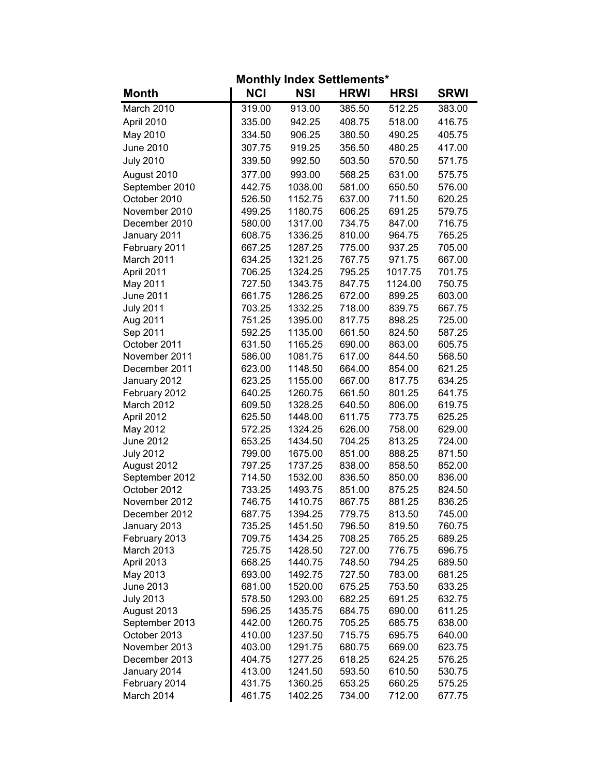| <b>Monthly Index Settlements*</b> |                  |                    |                  |                  |                  |  |  |
|-----------------------------------|------------------|--------------------|------------------|------------------|------------------|--|--|
| <b>Month</b>                      | <b>NCI</b>       | <b>NSI</b>         | <b>HRWI</b>      | <b>HRSI</b>      | <b>SRWI</b>      |  |  |
| March 2010                        | 319.00           | 913.00             | 385.50           | 512.25           | 383.00           |  |  |
| April 2010                        | 335.00           | 942.25             | 408.75           | 518.00           | 416.75           |  |  |
| May 2010                          | 334.50           | 906.25             | 380.50           | 490.25           | 405.75           |  |  |
| <b>June 2010</b>                  | 307.75           | 919.25             | 356.50           | 480.25           | 417.00           |  |  |
| <b>July 2010</b>                  | 339.50           | 992.50             | 503.50           | 570.50           | 571.75           |  |  |
| August 2010                       | 377.00           | 993.00             | 568.25           | 631.00           | 575.75           |  |  |
| September 2010                    | 442.75           | 1038.00            | 581.00           | 650.50           | 576.00           |  |  |
| October 2010                      | 526.50           | 1152.75            | 637.00           | 711.50           | 620.25           |  |  |
| November 2010                     | 499.25           | 1180.75            | 606.25           | 691.25           | 579.75           |  |  |
| December 2010                     | 580.00           | 1317.00            | 734.75           | 847.00           | 716.75           |  |  |
| January 2011                      | 608.75           | 1336.25            | 810.00           | 964.75           | 765.25           |  |  |
| February 2011                     | 667.25           | 1287.25            | 775.00           | 937.25           | 705.00           |  |  |
| March 2011                        | 634.25           | 1321.25            | 767.75           | 971.75           | 667.00           |  |  |
| April 2011                        | 706.25           | 1324.25            | 795.25           | 1017.75          | 701.75           |  |  |
| May 2011                          | 727.50           | 1343.75            | 847.75           | 1124.00          | 750.75           |  |  |
| <b>June 2011</b>                  | 661.75           | 1286.25            | 672.00           | 899.25           | 603.00           |  |  |
| <b>July 2011</b>                  | 703.25           | 1332.25            | 718.00           | 839.75           | 667.75           |  |  |
| Aug 2011                          | 751.25           | 1395.00            | 817.75           | 898.25           | 725.00           |  |  |
| Sep 2011                          | 592.25           | 1135.00            | 661.50           | 824.50           | 587.25           |  |  |
| October 2011                      | 631.50           | 1165.25            | 690.00           | 863.00           | 605.75           |  |  |
| November 2011                     | 586.00           | 1081.75            | 617.00           | 844.50           | 568.50           |  |  |
| December 2011                     | 623.00           | 1148.50            | 664.00           | 854.00           | 621.25           |  |  |
| January 2012                      | 623.25           | 1155.00            | 667.00           | 817.75           | 634.25           |  |  |
| February 2012                     | 640.25           | 1260.75            | 661.50           | 801.25           | 641.75           |  |  |
| March 2012                        | 609.50           | 1328.25            | 640.50           | 806.00           | 619.75           |  |  |
| April 2012                        | 625.50           | 1448.00            | 611.75           | 773.75           | 625.25           |  |  |
| May 2012                          | 572.25           | 1324.25            | 626.00           | 758.00           | 629.00           |  |  |
| <b>June 2012</b>                  | 653.25           | 1434.50            | 704.25           | 813.25           | 724.00           |  |  |
| <b>July 2012</b>                  | 799.00<br>797.25 | 1675.00            | 851.00           | 888.25<br>858.50 | 871.50           |  |  |
| August 2012<br>September 2012     | 714.50           | 1737.25<br>1532.00 | 838.00<br>836.50 | 850.00           | 852.00<br>836.00 |  |  |
| October 2012                      | 733.25           | 1493.75            | 851.00           | 875.25           | 824.50           |  |  |
| November 2012                     | 746.75           | 1410.75            | 867.75           | 881.25           | 836.25           |  |  |
| December 2012                     | 687.75           | 1394.25            | 779.75           | 813.50           | 745.00           |  |  |
| January 2013                      | 735.25           | 1451.50            | 796.50           | 819.50           | 760.75           |  |  |
| February 2013                     | 709.75           | 1434.25            | 708.25           | 765.25           | 689.25           |  |  |
| March 2013                        | 725.75           | 1428.50            | 727.00           | 776.75           | 696.75           |  |  |
| April 2013                        | 668.25           | 1440.75            | 748.50           | 794.25           | 689.50           |  |  |
| May 2013                          | 693.00           | 1492.75            | 727.50           | 783.00           | 681.25           |  |  |
| <b>June 2013</b>                  | 681.00           | 1520.00            | 675.25           | 753.50           | 633.25           |  |  |
| <b>July 2013</b>                  | 578.50           | 1293.00            | 682.25           | 691.25           | 632.75           |  |  |
| August 2013                       | 596.25           | 1435.75            | 684.75           | 690.00           | 611.25           |  |  |
| September 2013                    | 442.00           | 1260.75            | 705.25           | 685.75           | 638.00           |  |  |
| October 2013                      | 410.00           | 1237.50            | 715.75           | 695.75           | 640.00           |  |  |
| November 2013                     | 403.00           | 1291.75            | 680.75           | 669.00           | 623.75           |  |  |
| December 2013                     | 404.75           | 1277.25            | 618.25           | 624.25           | 576.25           |  |  |
| January 2014                      | 413.00           | 1241.50            | 593.50           | 610.50           | 530.75           |  |  |
| February 2014                     | 431.75           | 1360.25            | 653.25           | 660.25           | 575.25           |  |  |
| March 2014                        | 461.75           | 1402.25            | 734.00           | 712.00           | 677.75           |  |  |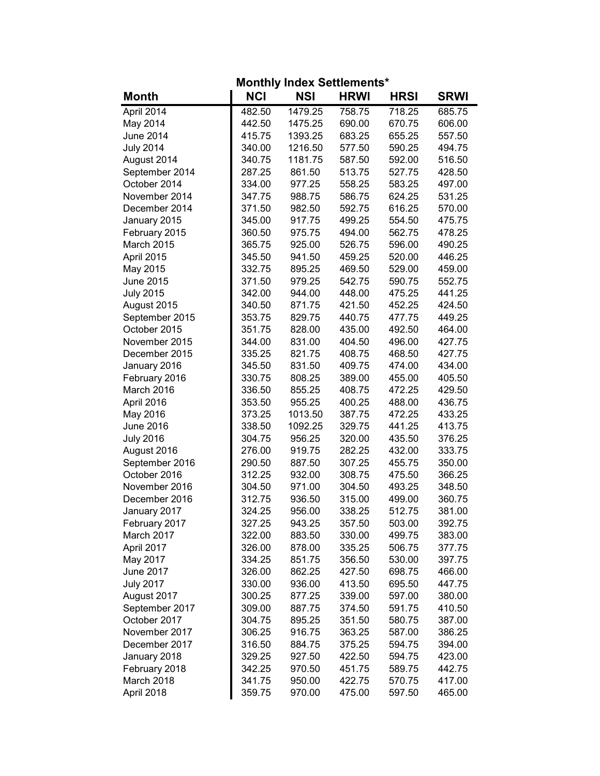| <b>Monthly Index Settlements*</b> |            |            |             |             |             |  |  |
|-----------------------------------|------------|------------|-------------|-------------|-------------|--|--|
| <b>Month</b>                      | <b>NCI</b> | <b>NSI</b> | <b>HRWI</b> | <b>HRSI</b> | <b>SRWI</b> |  |  |
| April 2014                        | 482.50     | 1479.25    | 758.75      | 718.25      | 685.75      |  |  |
| May 2014                          | 442.50     | 1475.25    | 690.00      | 670.75      | 606.00      |  |  |
| <b>June 2014</b>                  | 415.75     | 1393.25    | 683.25      | 655.25      | 557.50      |  |  |
| <b>July 2014</b>                  | 340.00     | 1216.50    | 577.50      | 590.25      | 494.75      |  |  |
| August 2014                       | 340.75     | 1181.75    | 587.50      | 592.00      | 516.50      |  |  |
| September 2014                    | 287.25     | 861.50     | 513.75      | 527.75      | 428.50      |  |  |
| October 2014                      | 334.00     | 977.25     | 558.25      | 583.25      | 497.00      |  |  |
| November 2014                     | 347.75     | 988.75     | 586.75      | 624.25      | 531.25      |  |  |
| December 2014                     | 371.50     | 982.50     | 592.75      | 616.25      | 570.00      |  |  |
| January 2015                      | 345.00     | 917.75     | 499.25      | 554.50      | 475.75      |  |  |
| February 2015                     | 360.50     | 975.75     | 494.00      | 562.75      | 478.25      |  |  |
| March 2015                        | 365.75     | 925.00     | 526.75      | 596.00      | 490.25      |  |  |
| April 2015                        | 345.50     | 941.50     | 459.25      | 520.00      | 446.25      |  |  |
| May 2015                          | 332.75     | 895.25     | 469.50      | 529.00      | 459.00      |  |  |
| June 2015                         | 371.50     | 979.25     | 542.75      | 590.75      | 552.75      |  |  |
| <b>July 2015</b>                  | 342.00     | 944.00     | 448.00      | 475.25      | 441.25      |  |  |
| August 2015                       | 340.50     | 871.75     | 421.50      | 452.25      | 424.50      |  |  |
| September 2015                    | 353.75     | 829.75     | 440.75      | 477.75      | 449.25      |  |  |
| October 2015                      | 351.75     | 828.00     | 435.00      | 492.50      | 464.00      |  |  |
| November 2015                     | 344.00     | 831.00     | 404.50      | 496.00      | 427.75      |  |  |
| December 2015                     | 335.25     | 821.75     | 408.75      | 468.50      | 427.75      |  |  |
| January 2016                      | 345.50     | 831.50     | 409.75      | 474.00      | 434.00      |  |  |
| February 2016                     | 330.75     | 808.25     | 389.00      | 455.00      | 405.50      |  |  |
| March 2016                        | 336.50     | 855.25     | 408.75      | 472.25      | 429.50      |  |  |
| April 2016                        | 353.50     | 955.25     | 400.25      | 488.00      | 436.75      |  |  |
| May 2016                          | 373.25     | 1013.50    | 387.75      | 472.25      | 433.25      |  |  |
| June 2016                         | 338.50     | 1092.25    | 329.75      | 441.25      | 413.75      |  |  |
| <b>July 2016</b>                  | 304.75     | 956.25     | 320.00      | 435.50      | 376.25      |  |  |
| August 2016                       | 276.00     | 919.75     | 282.25      | 432.00      | 333.75      |  |  |
| September 2016                    | 290.50     | 887.50     | 307.25      | 455.75      | 350.00      |  |  |
| October 2016                      | 312.25     | 932.00     | 308.75      | 475.50      | 366.25      |  |  |
| November 2016                     | 304.50     | 971.00     | 304.50      | 493.25      | 348.50      |  |  |
| December 2016                     | 312.75     | 936.50     | 315.00      | 499.00      | 360.75      |  |  |
| January 2017                      | 324.25     | 956.00     | 338.25      | 512.75      | 381.00      |  |  |
| February 2017                     | 327.25     | 943.25     | 357.50      | 503.00      | 392.75      |  |  |
| March 2017                        | 322.00     | 883.50     | 330.00      | 499.75      | 383.00      |  |  |
| April 2017                        | 326.00     | 878.00     | 335.25      | 506.75      | 377.75      |  |  |
| May 2017                          | 334.25     | 851.75     | 356.50      | 530.00      | 397.75      |  |  |
| June 2017                         | 326.00     | 862.25     | 427.50      | 698.75      | 466.00      |  |  |
| <b>July 2017</b>                  | 330.00     | 936.00     | 413.50      | 695.50      | 447.75      |  |  |
| August 2017                       | 300.25     | 877.25     | 339.00      | 597.00      | 380.00      |  |  |
| September 2017                    | 309.00     | 887.75     | 374.50      | 591.75      | 410.50      |  |  |
| October 2017                      | 304.75     | 895.25     | 351.50      | 580.75      | 387.00      |  |  |
| November 2017                     | 306.25     | 916.75     | 363.25      | 587.00      | 386.25      |  |  |
| December 2017                     | 316.50     | 884.75     | 375.25      | 594.75      | 394.00      |  |  |
| January 2018                      | 329.25     | 927.50     | 422.50      | 594.75      | 423.00      |  |  |
| February 2018                     | 342.25     | 970.50     | 451.75      | 589.75      | 442.75      |  |  |
| March 2018                        | 341.75     | 950.00     | 422.75      | 570.75      | 417.00      |  |  |
| April 2018                        | 359.75     | 970.00     | 475.00      | 597.50      | 465.00      |  |  |
|                                   |            |            |             |             |             |  |  |